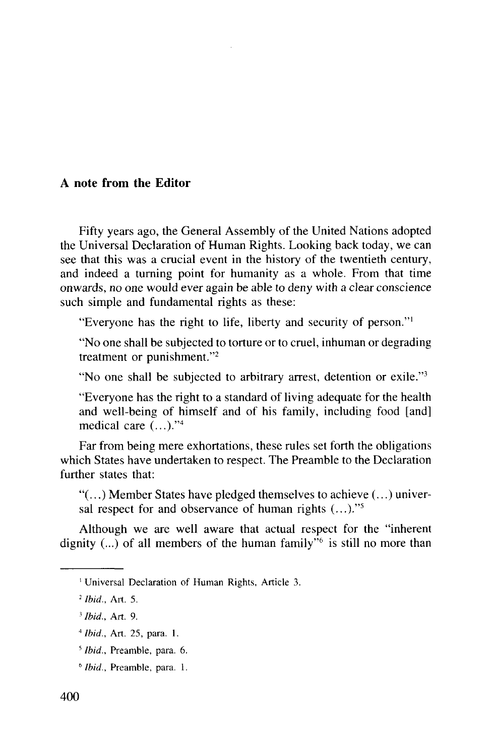## **A note from the Editor**

Fifty years ago, the General Assembly of the United Nations adopted the Universal Declaration of Human Rights. Looking back today, we can see that this was a crucial event in the history of the twentieth century, and indeed a turning point for humanity as a whole. From that time onwards, no one would ever again be able to deny with a clear conscience such simple and fundamental rights as these:

"Everyone has the right to life, liberty and security of person."<sup>1</sup>

"No one shall be subjected to torture or to cruel, inhuman or degrading treatment or punishment."<sup>2</sup>

"No one shall be subjected to arbitrary arrest, detention or exile."<sup>3</sup>

"Everyone has the right to a standard of living adequate for the health and well-being of himself and of his family, including food [and] medical care  $(...)^{''4}$ 

Far from being mere exhortations, these rules set forth the obligations which States have undertaken to respect. The Preamble to the Declaration further states that:

"(...) Member States have pledged themselves to achieve (...) universal respect for and observance of human rights  $(...).$ <sup>75</sup>

Although we are well aware that actual respect for the "inherent dignity  $(...)$  of all members of the human family<sup>76</sup> is still no more than

<sup>&#</sup>x27; Universal Declaration of Human Rights, Article 3.

<sup>2</sup>  *Ibid.,* Art. 5.

<sup>3</sup>  *Ibid.,* Art. 9.

*<sup>&</sup>quot;Ibid.,* Art. 25, para. 1.

<sup>5</sup>  *Ibid.,* Preamble, para. 6.

<sup>6</sup>  *Ibid.,* Preamble, para. 1.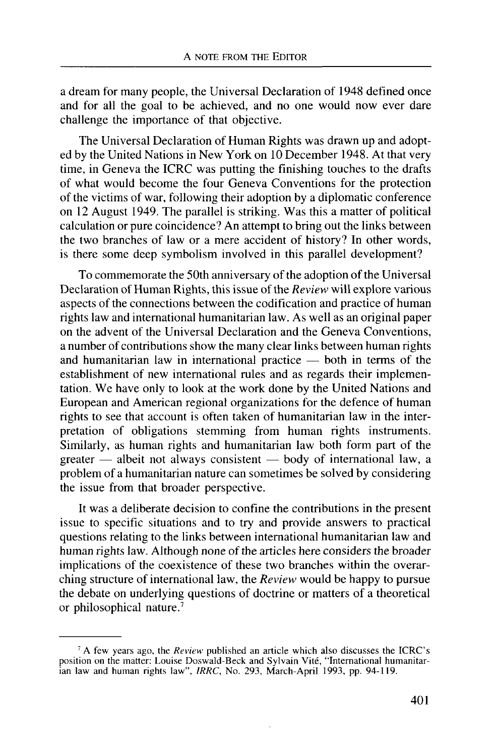a dream for many people, the Universal Declaration of 1948 defined once and for all the goal to be achieved, and no one would now ever dare challenge the importance of that objective.

The Universal Declaration of Human Rights was drawn up and adopted by the United Nations in New York on 10 December 1948. At that very time, in Geneva the ICRC was putting the finishing touches to the drafts of what would become the four Geneva Conventions for the protection of the victims of war, following their adoption by a diplomatic conference on 12 August 1949. The parallel is striking. Was this a matter of political calculation or pure coincidence? An attempt to bring out the links between the two branches of law or a mere accident of history? In other words, is there some deep symbolism involved in this parallel development?

To commemorate the 50th anniversary of the adoption of the Universal Declaration of Human Rights, this issue of the *Review* will explore various aspects of the connections between the codification and practice of human rights law and international humanitarian law. As well as an original paper on the advent of the Universal Declaration and the Geneva Conventions, a number of contributions show the many clear links between human rights and humanitarian law in international practice — both in terms of the establishment of new international rules and as regards their implementation. We have only to look at the work done by the United Nations and European and American regional organizations for the defence of human rights to see that account is often taken of humanitarian law in the interpretation of obligations stemming from human rights instruments. Similarly, as human rights and humanitarian law both form part of the greater — albeit not always consistent — body of international law, a problem of a humanitarian nature can sometimes be solved by considering the issue from that broader perspective.

It was a deliberate decision to confine the contributions in the present issue to specific situations and to try and provide answers to practical questions relating to the links between international humanitarian law and human rights law. Although none of the articles here considers the broader implications of the coexistence of these two branches within the overarching structure of international law, the *Review* would be happy to pursue the debate on underlying questions of doctrine or matters of a theoretical or philosophical nature.<sup>7</sup>

<sup>7</sup> A few years ago, the *Review* published an article which also discusses the ICRC's position on the matter: Louise Doswald-Beck and Sylvain Vite, "International humanitarian law and human rights law", *IRRC,* No. 293, March-April 1993, pp. 94-119.